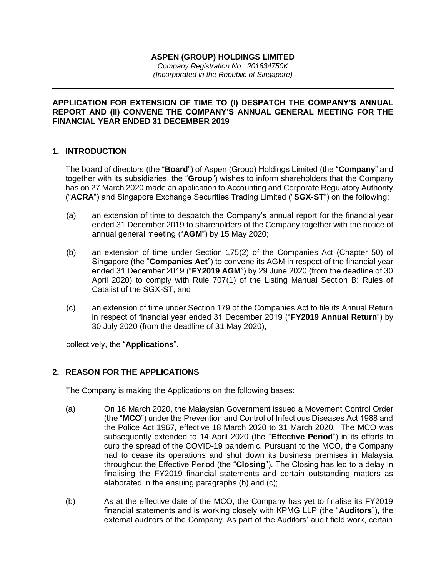# **ASPEN (GROUP) HOLDINGS LIMITED**

*Company Registration No.: 201634750K (Incorporated in the Republic of Singapore)*

## **APPLICATION FOR EXTENSION OF TIME TO (I) DESPATCH THE COMPANY'S ANNUAL REPORT AND (II) CONVENE THE COMPANY'S ANNUAL GENERAL MEETING FOR THE FINANCIAL YEAR ENDED 31 DECEMBER 2019**

## **1. INTRODUCTION**

The board of directors (the "**Board**") of Aspen (Group) Holdings Limited (the "**Company**" and together with its subsidiaries, the "**Group**") wishes to inform shareholders that the Company has on 27 March 2020 made an application to Accounting and Corporate Regulatory Authority ("**ACRA**") and Singapore Exchange Securities Trading Limited ("**SGX-ST**") on the following:

- (a) an extension of time to despatch the Company's annual report for the financial year ended 31 December 2019 to shareholders of the Company together with the notice of annual general meeting ("**AGM**") by 15 May 2020;
- (b) an extension of time under Section 175(2) of the Companies Act (Chapter 50) of Singapore (the "**Companies Act**") to convene its AGM in respect of the financial year ended 31 December 2019 ("**FY2019 AGM**") by 29 June 2020 (from the deadline of 30 April 2020) to comply with Rule 707(1) of the Listing Manual Section B: Rules of Catalist of the SGX-ST; and
- (c) an extension of time under Section 179 of the Companies Act to file its Annual Return in respect of financial year ended 31 December 2019 ("**FY2019 Annual Return**") by 30 July 2020 (from the deadline of 31 May 2020);

collectively, the "**Applications**".

# **2. REASON FOR THE APPLICATIONS**

The Company is making the Applications on the following bases:

- (a) On 16 March 2020, the Malaysian Government issued a Movement Control Order (the "**MCO**") under the Prevention and Control of Infectious Diseases Act 1988 and the Police Act 1967, effective 18 March 2020 to 31 March 2020. The MCO was subsequently extended to 14 April 2020 (the "**Effective Period**") in its efforts to curb the spread of the COVID-19 pandemic. Pursuant to the MCO, the Company had to cease its operations and shut down its business premises in Malaysia throughout the Effective Period (the "**Closing**"). The Closing has led to a delay in finalising the FY2019 financial statements and certain outstanding matters as elaborated in the ensuing paragraphs (b) and (c);
- (b) As at the effective date of the MCO, the Company has yet to finalise its FY2019 financial statements and is working closely with KPMG LLP (the "**Auditors**"), the external auditors of the Company. As part of the Auditors' audit field work, certain